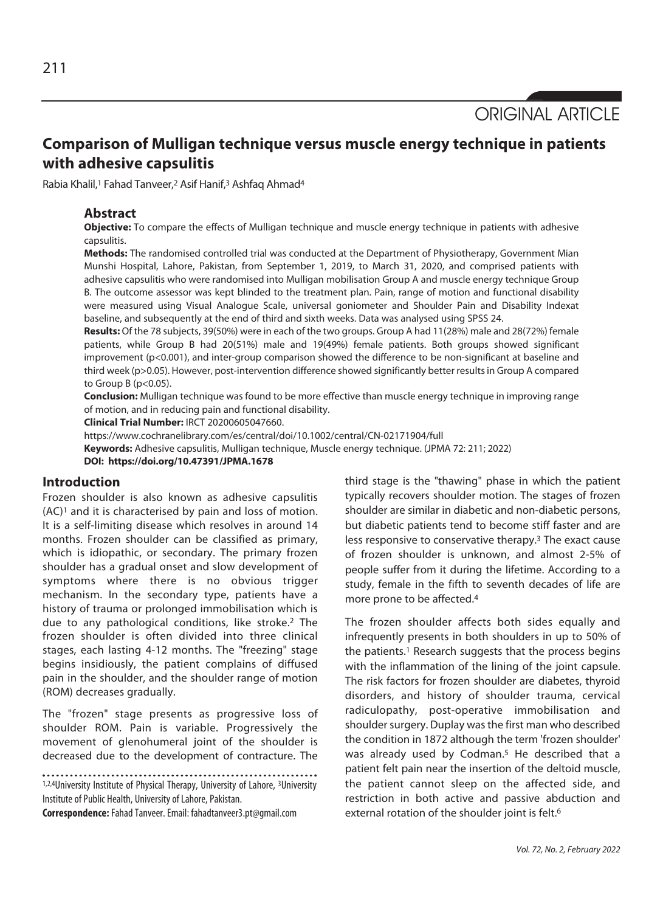ORIGINAL ARTICLE

# **Comparison of Mulligan technique versus muscle energy technique in patients with adhesive capsulitis**

Rabia Khalil,<sup>1</sup> Fahad Tanveer,<sup>2</sup> Asif Hanif,<sup>3</sup> Ashfaq Ahmad<sup>4</sup>

#### **Abstract**

**Objective:** To compare the effects of Mulligan technique and muscle energy technique in patients with adhesive capsulitis.

**Methods:** The randomised controlled trial was conducted at the Department of Physiotherapy, Government Mian Munshi Hospital, Lahore, Pakistan, from September 1, 2019, to March 31, 2020, and comprised patients with adhesive capsulitis who were randomised into Mulligan mobilisation Group A and muscle energy technique Group B. The outcome assessor was kept blinded to the treatment plan. Pain, range of motion and functional disability were measured using Visual Analogue Scale, universal goniometer and Shoulder Pain and Disability Indexat baseline, and subsequently at the end of third and sixth weeks. Data was analysed using SPSS 24.

**Results:** Of the 78 subjects, 39(50%) were in each of the two groups. Group A had 11(28%) male and 28(72%) female patients, while Group B had 20(51%) male and 19(49%) female patients. Both groups showed significant improvement (p<0.001), and inter-group comparison showed the difference to be non-significant at baseline and third week (p>0.05). However, post-intervention difference showed significantly better results in Group A compared to Group  $B$  ( $p < 0.05$ ).

**Conclusion:** Mulligan technique was found to be more effective than muscle energy technique in improving range of motion, and in reducing pain and functional disability.

**Clinical Trial Number:** IRCT 20200605047660.

https://www.cochranelibrary.com/es/central/doi/10.1002/central/CN-02171904/full

**Keywords:** Adhesive capsulitis, Mulligan technique, Muscle energy technique. (JPMA 72: 211; 2022)

**DOI: https://doi.org/10.47391/JPMA.1678** 

## **Introduction**

Frozen shoulder is also known as adhesive capsulitis (AC)1 and it is characterised by pain and loss of motion. It is a self-limiting disease which resolves in around 14 months. Frozen shoulder can be classified as primary, which is idiopathic, or secondary. The primary frozen shoulder has a gradual onset and slow development of symptoms where there is no obvious trigger mechanism. In the secondary type, patients have a history of trauma or prolonged immobilisation which is due to any pathological conditions, like stroke.2 The frozen shoulder is often divided into three clinical stages, each lasting 4-12 months. The "freezing" stage begins insidiously, the patient complains of diffused pain in the shoulder, and the shoulder range of motion (ROM) decreases gradually.

The "frozen" stage presents as progressive loss of shoulder ROM. Pain is variable. Progressively the movement of glenohumeral joint of the shoulder is decreased due to the development of contracture. The

1,2,4University Institute of Physical Therapy, University of Lahore, <sup>3</sup>University Institute of Public Health, University of Lahore, Pakistan.

**Correspondence:** Fahad Tanveer. Email: fahadtanveer3.pt@gmail.com

third stage is the "thawing" phase in which the patient typically recovers shoulder motion. The stages of frozen shoulder are similar in diabetic and non-diabetic persons, but diabetic patients tend to become stiff faster and are less responsive to conservative therapy.3 The exact cause of frozen shoulder is unknown, and almost 2-5% of people suffer from it during the lifetime. According to a study, female in the fifth to seventh decades of life are more prone to be affected.<sup>4</sup>

The frozen shoulder affects both sides equally and infrequently presents in both shoulders in up to 50% of the patients.<sup>1</sup> Research suggests that the process begins with the inflammation of the lining of the joint capsule. The risk factors for frozen shoulder are diabetes, thyroid disorders, and history of shoulder trauma, cervical radiculopathy, post-operative immobilisation and shoulder surgery. Duplay was the first man who described the condition in 1872 although the term 'frozen shoulder' was already used by Codman.<sup>5</sup> He described that a patient felt pain near the insertion of the deltoid muscle, the patient cannot sleep on the affected side, and restriction in both active and passive abduction and external rotation of the shoulder joint is felt.<sup>6</sup>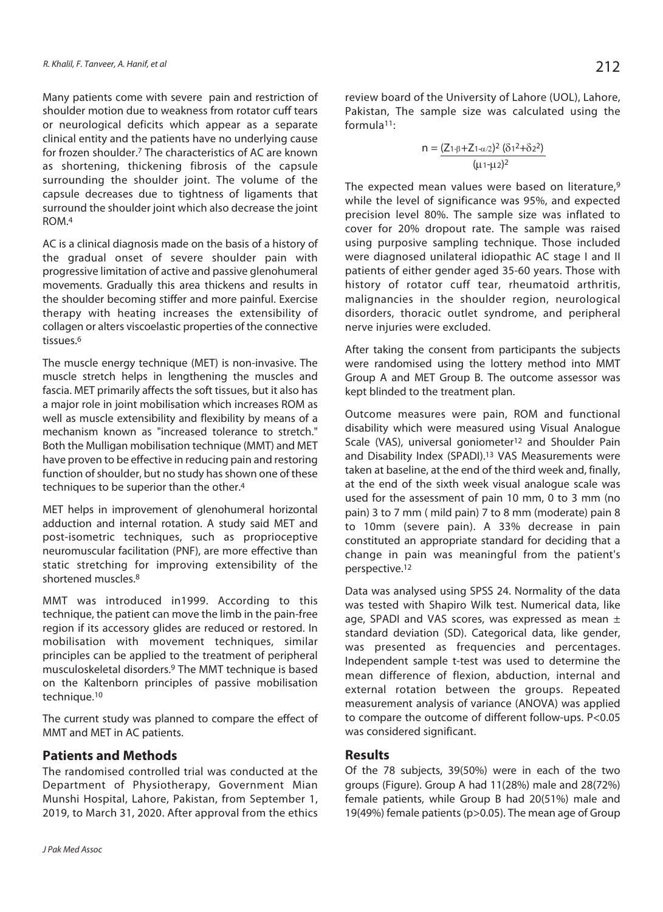Many patients come with severe pain and restriction of shoulder motion due to weakness from rotator cuff tears or neurological deficits which appear as a separate clinical entity and the patients have no underlying cause for frozen shoulder.7 The characteristics of AC are known as shortening, thickening fibrosis of the capsule surrounding the shoulder joint. The volume of the capsule decreases due to tightness of ligaments that surround the shoulder joint which also decrease the joint ROM.4

AC is a clinical diagnosis made on the basis of a history of the gradual onset of severe shoulder pain with progressive limitation of active and passive glenohumeral movements. Gradually this area thickens and results in the shoulder becoming stiffer and more painful. Exercise therapy with heating increases the extensibility of collagen or alters viscoelastic properties of the connective tissues.6

The muscle energy technique (MET) is non-invasive. The muscle stretch helps in lengthening the muscles and fascia. MET primarily affects the soft tissues, but it also has a major role in joint mobilisation which increases ROM as well as muscle extensibility and flexibility by means of a mechanism known as "increased tolerance to stretch." Both the Mulligan mobilisation technique (MMT) and MET have proven to be effective in reducing pain and restoring function of shoulder, but no study has shown one of these techniques to be superior than the other.4

MET helps in improvement of glenohumeral horizontal adduction and internal rotation. A study said MET and post-isometric techniques, such as proprioceptive neuromuscular facilitation (PNF), are more effective than static stretching for improving extensibility of the shortened muscles.8

MMT was introduced in1999. According to this technique, the patient can move the limb in the pain-free region if its accessory glides are reduced or restored. In mobilisation with movement techniques, similar principles can be applied to the treatment of peripheral musculoskeletal disorders.9 The MMT technique is based on the Kaltenborn principles of passive mobilisation technique.10

The current study was planned to compare the effect of MMT and MET in AC patients.

# **Patients and Methods**

The randomised controlled trial was conducted at the Department of Physiotherapy, Government Mian Munshi Hospital, Lahore, Pakistan, from September 1, 2019, to March 31, 2020. After approval from the ethics

review board of the University of Lahore (UOL), Lahore, Pakistan, The sample size was calculated using the formula11:

$$
n = \frac{(Z_{1\text{-} \beta} + Z_{1\text{-}\alpha/2})^2 (\delta_{1}^2 + \delta_{2}^2)}{(\mu_{1\text{-} \mu 2})^2}
$$

The expected mean values were based on literature,<sup>9</sup> while the level of significance was 95%, and expected precision level 80%. The sample size was inflated to cover for 20% dropout rate. The sample was raised using purposive sampling technique. Those included were diagnosed unilateral idiopathic AC stage I and II patients of either gender aged 35-60 years. Those with history of rotator cuff tear, rheumatoid arthritis, malignancies in the shoulder region, neurological disorders, thoracic outlet syndrome, and peripheral nerve injuries were excluded.

After taking the consent from participants the subjects were randomised using the lottery method into MMT Group A and MET Group B. The outcome assessor was kept blinded to the treatment plan.

Outcome measures were pain, ROM and functional disability which were measured using Visual Analogue Scale (VAS), universal goniometer<sup>12</sup> and Shoulder Pain and Disability Index (SPADI).13 VAS Measurements were taken at baseline, at the end of the third week and, finally, at the end of the sixth week visual analogue scale was used for the assessment of pain 10 mm, 0 to 3 mm (no pain) 3 to 7 mm ( mild pain) 7 to 8 mm (moderate) pain 8 to 10mm (severe pain). A 33% decrease in pain constituted an appropriate standard for deciding that a change in pain was meaningful from the patient's perspective.12

Data was analysed using SPSS 24. Normality of the data was tested with Shapiro Wilk test. Numerical data, like age, SPADI and VAS scores, was expressed as mean  $\pm$ standard deviation (SD). Categorical data, like gender, was presented as frequencies and percentages. Independent sample t-test was used to determine the mean difference of flexion, abduction, internal and external rotation between the groups. Repeated measurement analysis of variance (ANOVA) was applied to compare the outcome of different follow-ups. P<0.05 was considered significant.

## **Results**

Of the 78 subjects, 39(50%) were in each of the two groups (Figure). Group A had 11(28%) male and 28(72%) female patients, while Group B had 20(51%) male and 19(49%) female patients (p>0.05). The mean age of Group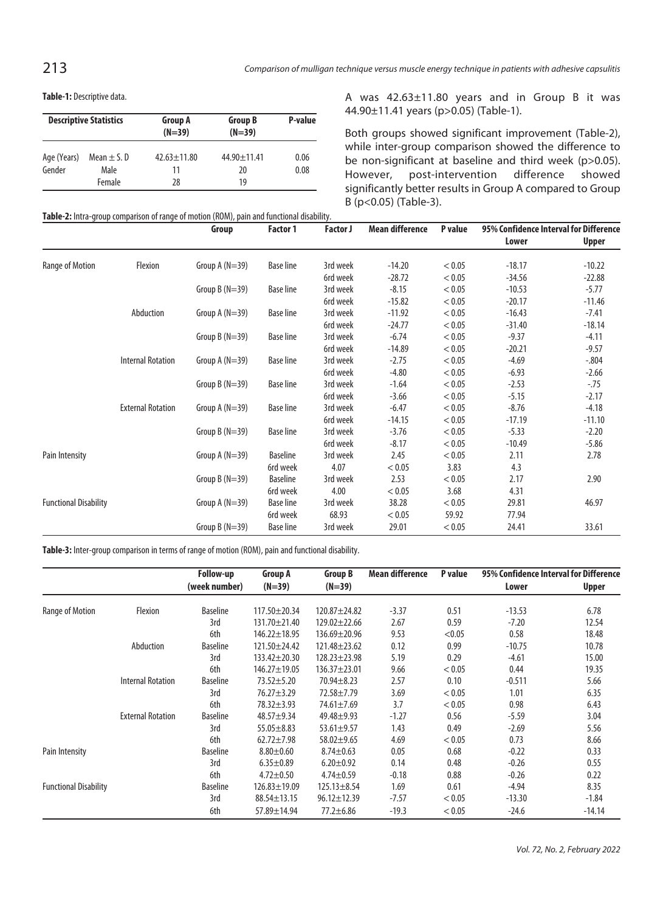**Table-1:** Descriptive data.

|             | <b>Descriptive Statistics</b> | <b>Group A</b><br>$(N=39)$ | <b>Group B</b><br>$(N=39)$ | P-value |  |
|-------------|-------------------------------|----------------------------|----------------------------|---------|--|
| Age (Years) | Mean $\pm$ S. D               | $42.63 \pm 11.80$          | $44.90 \pm 11.41$          | 0.06    |  |
| Gender      | Male                          | 11                         | 20                         | 0.08    |  |
|             | Female                        | 28                         | 19                         |         |  |

A was 42.63±11.80 years and in Group B it was 44.90±11.41 years (p>0.05) (Table-1).

Both groups showed significant improvement (Table-2), while inter-group comparison showed the difference to be non-significant at baseline and third week (p>0.05). However, post-intervention difference showed significantly better results in Group A compared to Group B (p<0.05) (Table-3).

|                              |                          | Group            | Factor 1         | <b>Factor J</b> | <b>Mean difference</b> | P value | 95% Confidence Interval for Difference |          |
|------------------------------|--------------------------|------------------|------------------|-----------------|------------------------|---------|----------------------------------------|----------|
|                              |                          |                  |                  |                 |                        |         | Lower                                  | Upper    |
| Range of Motion              | Flexion                  | Group A $(N=39)$ | <b>Base line</b> | 3rd week        | $-14.20$               | < 0.05  | $-18.17$                               | $-10.22$ |
|                              |                          |                  |                  | 6rd week        | $-28.72$               | < 0.05  | $-34.56$                               | $-22.88$ |
|                              |                          | Group $B(N=39)$  | <b>Base line</b> | 3rd week        | $-8.15$                | < 0.05  | $-10.53$                               | $-5.77$  |
|                              |                          |                  |                  | 6rd week        | $-15.82$               | < 0.05  | $-20.17$                               | $-11.46$ |
|                              | Abduction                | Group A $(N=39)$ | <b>Base line</b> | 3rd week        | $-11.92$               | < 0.05  | $-16.43$                               | $-7.41$  |
|                              |                          |                  |                  | 6rd week        | $-24.77$               | < 0.05  | $-31.40$                               | $-18.14$ |
|                              |                          | Group $B(N=39)$  | <b>Base line</b> | 3rd week        | $-6.74$                | < 0.05  | $-9.37$                                | $-4.11$  |
|                              |                          |                  |                  | 6rd week        | $-14.89$               | < 0.05  | $-20.21$                               | $-9.57$  |
|                              | <b>Internal Rotation</b> | Group A $(N=39)$ | <b>Base line</b> | 3rd week        | $-2.75$                | < 0.05  | $-4.69$                                | $-.804$  |
|                              |                          |                  |                  | 6rd week        | $-4.80$                | < 0.05  | $-6.93$                                | $-2.66$  |
|                              |                          | Group $B(N=39)$  | <b>Base line</b> | 3rd week        | $-1.64$                | < 0.05  | $-2.53$                                | $-.75$   |
|                              |                          |                  |                  | 6rd week        | $-3.66$                | < 0.05  | $-5.15$                                | $-2.17$  |
|                              | <b>External Rotation</b> | Group A $(N=39)$ | <b>Base line</b> | 3rd week        | $-6.47$                | < 0.05  | $-8.76$                                | $-4.18$  |
|                              |                          |                  |                  | 6rd week        | $-14.15$               | < 0.05  | $-17.19$                               | $-11.10$ |
|                              |                          | Group $B(N=39)$  | <b>Base line</b> | 3rd week        | $-3.76$                | < 0.05  | $-5.33$                                | $-2.20$  |
|                              |                          |                  |                  | 6rd week        | $-8.17$                | < 0.05  | $-10.49$                               | $-5.86$  |
| Pain Intensity               |                          | Group A $(N=39)$ | <b>Baseline</b>  | 3rd week        | 2.45                   | < 0.05  | 2.11                                   | 2.78     |
|                              |                          |                  | 6rd week         | 4.07            | < 0.05                 | 3.83    | 4.3                                    |          |
|                              |                          | Group B $(N=39)$ | <b>Baseline</b>  | 3rd week        | 2.53                   | < 0.05  | 2.17                                   | 2.90     |
|                              |                          |                  | 6rd week         | 4.00            | < 0.05                 | 3.68    | 4.31                                   |          |
| <b>Functional Disability</b> |                          | Group A $(N=39)$ | <b>Base line</b> | 3rd week        | 38.28                  | < 0.05  | 29.81                                  | 46.97    |
|                              |                          |                  | 6rd week         | 68.93           | < 0.05                 | 59.92   | 77.94                                  |          |
|                              |                          | Group $B(N=39)$  | <b>Base line</b> | 3rd week        | 29.01                  | < 0.05  | 24.41                                  | 33.61    |

**Table-3:** Inter-group comparison in terms of range of motion (ROM), pain and functional disability.

|                              |                          | <b>Follow-up</b> | <b>Group A</b><br>$(N=39)$ | <b>Group B</b><br>$(N=39)$ | <b>Mean difference</b> | P value | 95% Confidence Interval for Difference |              |
|------------------------------|--------------------------|------------------|----------------------------|----------------------------|------------------------|---------|----------------------------------------|--------------|
|                              |                          | (week number)    |                            |                            |                        |         | Lower                                  | <b>Upper</b> |
| Range of Motion              | Flexion                  | <b>Baseline</b>  | $117.50 \pm 20.34$         | $120.87 \pm 24.82$         | $-3.37$                | 0.51    | $-13.53$                               | 6.78         |
|                              |                          | 3rd              | $131.70 \pm 21.40$         | $129.02 \pm 22.66$         | 2.67                   | 0.59    | $-7.20$                                | 12.54        |
|                              |                          | 6th              | $146.22 \pm 18.95$         | $136.69 \pm 20.96$         | 9.53                   | < 0.05  | 0.58                                   | 18.48        |
|                              | Abduction                | <b>Baseline</b>  | $121.50 \pm 24.42$         | $121.48 \pm 23.62$         | 0.12                   | 0.99    | $-10.75$                               | 10.78        |
|                              |                          | 3rd              | $133.42 \pm 20.30$         | $128.23 \pm 23.98$         | 5.19                   | 0.29    | $-4.61$                                | 15.00        |
|                              |                          | 6th              | 146.27±19.05               | $136.37 \pm 23.01$         | 9.66                   | < 0.05  | 0.44                                   | 19.35        |
|                              | <b>Internal Rotation</b> | <b>Baseline</b>  | $73.52 + 5.20$             | 70.94±8.23                 | 2.57                   | 0.10    | $-0.511$                               | 5.66         |
|                              |                          | 3rd              | $76.27 \pm 3.29$           | $72.58 \pm 7.79$           | 3.69                   | < 0.05  | 1.01                                   | 6.35         |
|                              |                          | 6th              | $78.32 \pm 3.93$           | 74.61±7.69                 | 3.7                    | < 0.05  | 0.98                                   | 6.43         |
|                              | <b>External Rotation</b> | <b>Baseline</b>  | $48.57 + 9.34$             | $49.48 + 9.93$             | $-1.27$                | 0.56    | $-5.59$                                | 3.04         |
|                              |                          | 3rd              | $55.05 \pm 8.83$           | $53.61 \pm 9.57$           | 1.43                   | 0.49    | $-2.69$                                | 5.56         |
|                              |                          | 6th              | $62.72 \pm 7.98$           | $58.02 \pm 9.65$           | 4.69                   | < 0.05  | 0.73                                   | 8.66         |
| Pain Intensity               |                          | <b>Baseline</b>  | $8.80 + 0.60$              | $8.74 \pm 0.63$            | 0.05                   | 0.68    | $-0.22$                                | 0.33         |
|                              |                          | 3rd              | $6.35 \pm 0.89$            | $6.20 \pm 0.92$            | 0.14                   | 0.48    | $-0.26$                                | 0.55         |
|                              |                          | 6th              | $4.72 \pm 0.50$            | $4.74 \pm 0.59$            | $-0.18$                | 0.88    | $-0.26$                                | 0.22         |
| <b>Functional Disability</b> |                          | <b>Baseline</b>  | 126.83±19.09               | $125.13 \pm 8.54$          | 1.69                   | 0.61    | $-4.94$                                | 8.35         |
|                              |                          | 3rd              | $88.54 \pm 13.15$          | $96.12 \pm 12.39$          | $-7.57$                | < 0.05  | $-13.30$                               | $-1.84$      |
|                              |                          | 6th              | 57.89±14.94                | $77.2 \pm 6.86$            | $-19.3$                | < 0.05  | $-24.6$                                | $-14.14$     |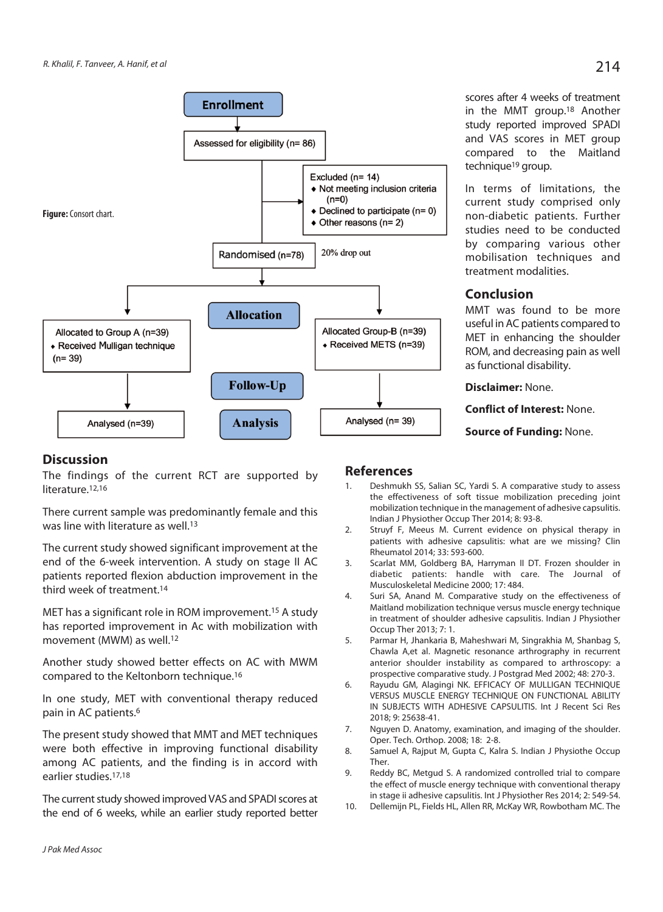

## **Discussion**

The findings of the current RCT are supported by literature.<sup>12,16</sup>

There current sample was predominantly female and this was line with literature as well.<sup>13</sup>

The current study showed significant improvement at the end of the 6-week intervention. A study on stage II AC patients reported flexion abduction improvement in the third week of treatment.14

MET has a significant role in ROM improvement.15 A study has reported improvement in Ac with mobilization with movement (MWM) as well.12

Another study showed better effects on AC with MWM compared to the Keltonborn technique.16

In one study, MET with conventional therapy reduced pain in AC patients.6

The present study showed that MMT and MET techniques were both effective in improving functional disability among AC patients, and the finding is in accord with earlier studies.17,18

The current study showed improved VAS and SPADI scores at the end of 6 weeks, while an earlier study reported better

## **References**

- 1. Deshmukh SS, Salian SC, Yardi S. A comparative study to assess the effectiveness of soft tissue mobilization preceding joint mobilization technique in the management of adhesive capsulitis. Indian J Physiother Occup Ther 2014; 8: 93-8.
- 2. Struyf F, Meeus M. Current evidence on physical therapy in patients with adhesive capsulitis: what are we missing? Clin Rheumatol 2014; 33: 593-600.
- 3. Scarlat MM, Goldberg BA, Harryman II DT. Frozen shoulder in diabetic patients: handle with care. The Journal of Musculoskeletal Medicine 2000; 17: 484.
- 4. Suri SA, Anand M. Comparative study on the effectiveness of Maitland mobilization technique versus muscle energy technique in treatment of shoulder adhesive capsulitis. Indian J Physiother Occup Ther 2013; 7: 1.
- 5. Parmar H, Jhankaria B, Maheshwari M, Singrakhia M, Shanbag S, Chawla A,et al. Magnetic resonance arthrography in recurrent anterior shoulder instability as compared to arthroscopy: a prospective comparative study. J Postgrad Med 2002; 48: 270-3.
- 6. Rayudu GM, Alagingi NK. EFFICACY OF MULLIGAN TECHNIQUE VERSUS MUSCLE ENERGY TECHNIQUE ON FUNCTIONAL ABILITY IN SUBJECTS WITH ADHESIVE CAPSULITIS. Int J Recent Sci Res 2018; 9: 25638-41.
- 7. Nguyen D. Anatomy, examination, and imaging of the shoulder. Oper. Tech. Orthop. 2008; 18: 2-8.
- 8. Samuel A, Rajput M, Gupta C, Kalra S. Indian J Physiothe Occup Ther.
- 9. Reddy BC, Metgud S. A randomized controlled trial to compare the effect of muscle energy technique with conventional therapy in stage ii adhesive capsulitis. Int J Physiother Res 2014; 2: 549-54.
- 10. Dellemijn PL, Fields HL, Allen RR, McKay WR, Rowbotham MC. The

scores after 4 weeks of treatment in the MMT group.18 Another study reported improved SPADI and VAS scores in MET group compared to the Maitland

In terms of limitations, the current study comprised only non-diabetic patients. Further studies need to be conducted by comparing various other mobilisation techniques and

MMT was found to be more useful in AC patients compared to MET in enhancing the shoulder ROM, and decreasing pain as well

technique<sup>19</sup> group.

treatment modalities.

as functional disability. **Disclaimer:** None.

**Conflict of Interest:** None. **Source of Funding:** None.

**Conclusion**